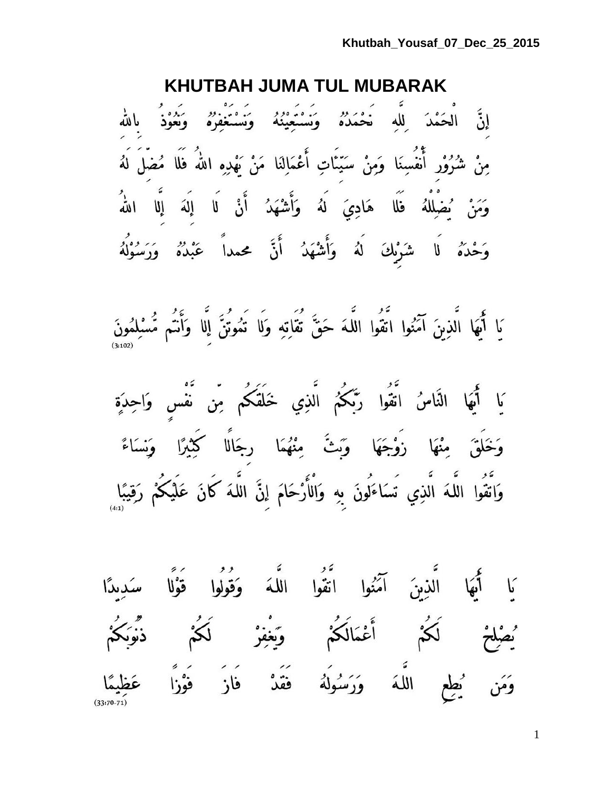### **KHUTBAH JUMA TUL MUBARAK**

إِنَّ الْحَمْدَ لِلَّهِ خَمَدُهُ وَنَسْتَعِيْنُهُ وَنَسْتَغْفِرُهُ وَنَعُوْذُ بِاللّهِ مِنْ شُرُوْرٍ أَنْفُسِنَا وَمِنْ سَيّئَاتِ أَعْمَالِنَا مَنْ بَهْدِهِ اللّهُ فَلَا مُضْلَ لَهُ وَمَنْ يُضْلِلْهُ فَلَا هَادِيَ لَهُ وَأَشْهَدُ أَنْ لَا إِلَهَ إِلَّا اللَّهُ وَحْدَهُ لَا شَرْبِكَ لَهُ وَأَشْهَدُ أَنَّ محمداً عَبْدُهُ وَرَسُوْلُهُ

يَا أَيُّهَا الَّذِينَ آمَنُوا اتَّقُوا اللَّهَ حَقٌّ تُقَاتِهِ وَلَا تَمُوتُنَّ إِلَّا وَأَتُم مُّسْلِمُونَ

يَا أَيُهَا النَّاسُ اتَّقُوا رَّبَّكُمُ الَّذِي خَلَقَكُم مِّن نَّفْس وَاحِدَةٍ وَخَلَقَ مِنْهَا زَوْجَهَا وَبَثَّ مِنْهُمَا رِجَالًا كِثِيرًا وَنِسَاءً وَاتَّقُوا اللَّهَ الَّذِي تَسَاءَلُونَ بِهِ وَالْأَرْحَامَ إِنَّ اللَّهَ كَانَ عَلَيْكُمْ رَقِيبًا

.<br>يَا أَيُّهَا الَّذِينَ آمَنُوا اتَّقُوا اللَّهَ وَقُولُوا قَوْلًا سَدِيدًا ُيصْلِحْ لَكُمْ أَعْمَالَكُمْ وَيَغْفِرْ لَكُمْ ذَّبَوَبَكُمْ وَمَن يُطِعِ اللَّهَ وَرَسُولَهُ فَقَدْ فَازَ فَوْزًا عَظِيمًا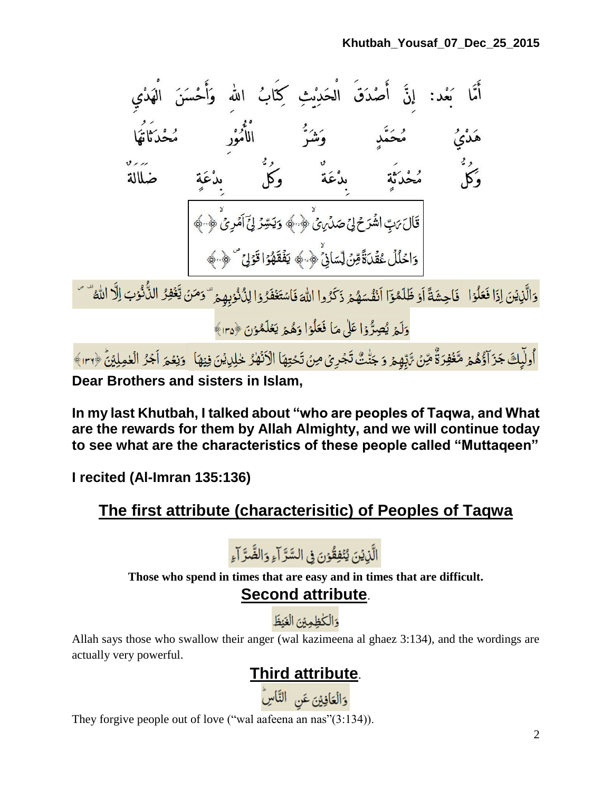

أُولَٰٓبِكَ جَزَآؤُهُمۡ مَّغۡفِرَةٌ مِّنۡ تَّذِّبِهِمۡ وَ جَنّٰتٌ تَجۡرِىۡ مِنۡ تَحۡتِهَا الۡأَنۡهٰرُ خٰلِلِيۡنَ فِيۡهَا ۚ وَنِعۡمَ اَجۡرُ الۡعٰمِلِيۡنَٰ ﴿٣٠١﴾ **Dear Brothers and sisters in Islam,**

**In my last Khutbah, I talked about "who are peoples of Taqwa, and What are the rewards for them by Allah Almighty, and we will continue today to see what are the characteristics of these people called "Muttaqeen"**

**I recited (Al-Imran 135:136)**

### **The first attribute (characterisitic) of Peoples of Taqwa**

الَّذِيْنَ يُنۡفِقُوۡنَ فِي السَّرَّ آءِ وَالضَّرَّ آءِ

**Those who spend in times that are easy and in times that are difficult.**

**Second attribute**.

والكظمين الغنظ

Allah says those who swallow their anger (wal kazimeena al ghaez 3:134), and the wordings are actually very powerful.

# **Third attribute**.

وَالْعَافِيْنَ عَنِ النَّاسِ

They forgive people out of love ("wal aafeena an nas"(3:134)).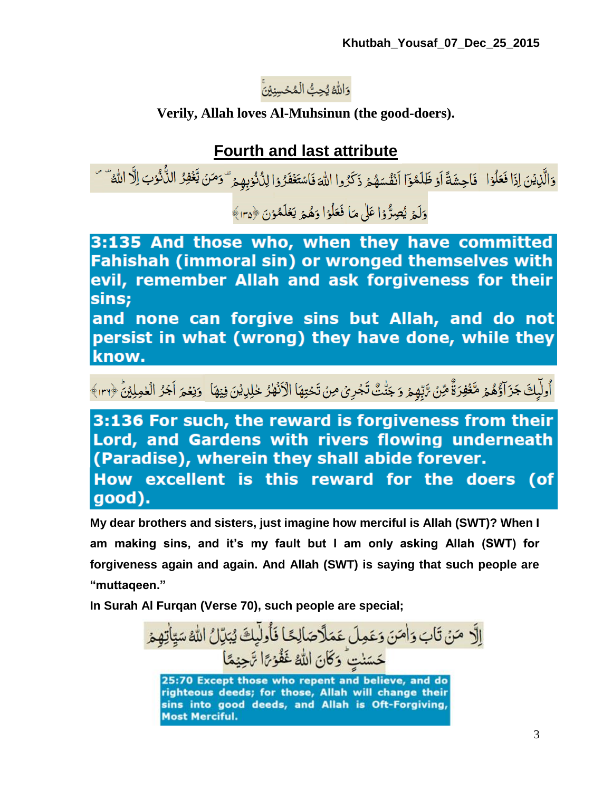### وَاللَّهُ يُحِبُّ الْمُحۡسِنِيۡنَّ

#### **Verily, Allah loves Al-Muhsinun (the good-doers).**

### **Fourth and last attribute**

وَالَّذِينَ إِذَا فَعَلُوْا ۖ فَاحِشَةً أَوْ ظَلَمُوۡٓا أَنۡفُسَهُمۡ ذَكِّرُوا اللَّهَ فَاسۡتَغۡفَرُوۡا لِنُكۡوُبِهِمۡ ۖ وَمَنۡ يَّغۡفِرُ الذُّكُوۡبَ اِلْا اللَّهُ ۖ ۚ

وَلَيۡ يُصِرُّوۡا عَلَىٰ مَا فَعَلُوۡا وَهُمۡ يَعۡلَمُوۡنَ ﴿٢٥﴾

3:135 And those who, when they have committed Fahishah (immoral sin) or wronged themselves with evil, remember Allah and ask forgiveness for their sins;

and none can forgive sins but Allah, and do not persist in what (wrong) they have done, while they know.

# أُولِّيكَ جَزَآؤُهُمْ مَّغَفِرَةٌ مِّنْ تَبِّهِمْ وَ جَنّْتٌ تَجْرِيُ مِنْ تَحْتِهَا الْأَنْهِكْ خْلِيهِنْ فِيهَا ۚ وَنِعْمَ أَجُرُ الْعٰمِلِيْنَ ﴿٣٠١﴾

3:136 For such, the reward is forgiveness from their Lord, and Gardens with rivers flowing underneath (Paradise), wherein they shall abide forever. How excellent is this reward for the doers (of good).

**My dear brothers and sisters, just imagine how merciful is Allah (SWT)? When I am making sins, and it's my fault but I am only asking Allah (SWT) for forgiveness again and again. And Allah (SWT) is saying that such people are "muttaqeen."**

**In Surah Al Furqan (Verse 70), such people are special;**

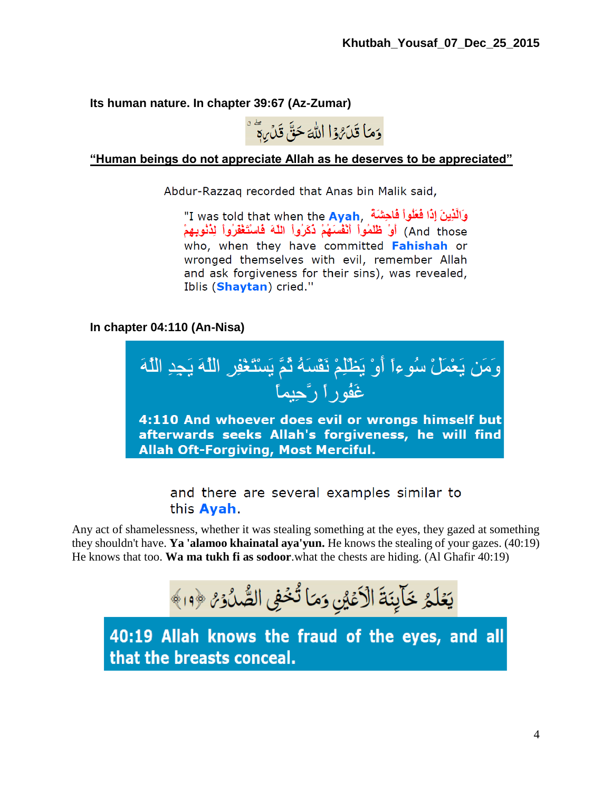**Its human nature. In chapter 39:67 (Az-Zumar)**



**"Human beings do not appreciate Allah as he deserves to be appreciated"**

Abdur-Razzaq recorded that Anas bin Malik said,

"I was told that when the Ayah, أَوَالَّذِينَ إِذَا فَعَلُواْ فَاحِشَةٌ And those) أَوْ ظُلَمُواْ أَنْفُسَهُمْ ذُكَرُواْ اللَّهَ فَاسْتَغْفَرُواْ لِدُنُوبِهِمْ who, when they have committed Fahishah or wronged themselves with evil, remember Allah and ask forgiveness for their sins), was revealed, Iblis (Shaytan) cried."

**In chapter 04:110 (An-Nisa)**



and there are several examples similar to this **Ayah**.

Any act of shamelessness, whether it was stealing something at the eyes, they gazed at something they shouldn't have. **Ya 'alamoo khainatal aya'yun.** He knows the stealing of your gazes. (40:19) He knows that too. **Wa ma tukh fi as sodoor**.what the chests are hiding. (Al Ghafir 40:19)

يَعُلَّمُ خَالِنَةَ الْأَعْيُنِ وَمَا تُخْفِي الصُّدُوْ ۞ ١٩﴾

40:19 Allah knows the fraud of the eyes, and all that the breasts conceal.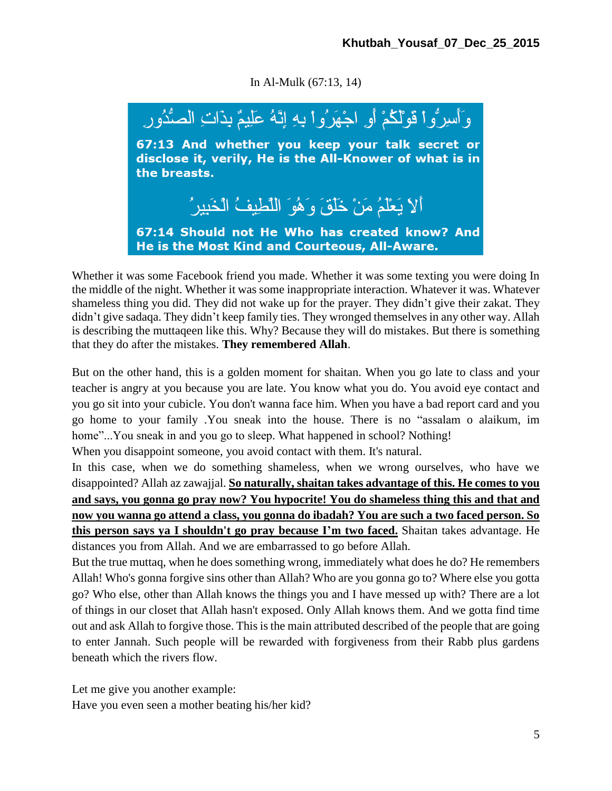In Al-Mulk (67:13, 14)



Whether it was some Facebook friend you made. Whether it was some texting you were doing In the middle of the night. Whether it was some inappropriate interaction. Whatever it was. Whatever shameless thing you did. They did not wake up for the prayer. They didn't give their zakat. They didn't give sadaqa. They didn't keep family ties. They wronged themselves in any other way. Allah is describing the muttaqeen like this. Why? Because they will do mistakes. But there is something that they do after the mistakes. **They remembered Allah**.

But on the other hand, this is a golden moment for shaitan. When you go late to class and your teacher is angry at you because you are late. You know what you do. You avoid eye contact and you go sit into your cubicle. You don't wanna face him. When you have a bad report card and you go home to your family .You sneak into the house. There is no "assalam o alaikum, im home"...You sneak in and you go to sleep. What happened in school? Nothing!

When you disappoint someone, you avoid contact with them. It's natural.

In this case, when we do something shameless, when we wrong ourselves, who have we disappointed? Allah az zawajjal. **So naturally, shaitan takes advantage of this. He comes to you and says, you gonna go pray now? You hypocrite! You do shameless thing this and that and now you wanna go attend a class, you gonna do ibadah? You are such a two faced person. So this person says ya I shouldn't go pray because I'm two faced.** Shaitan takes advantage. He distances you from Allah. And we are embarrassed to go before Allah.

But the true muttaq, when he does something wrong, immediately what does he do? He remembers Allah! Who's gonna forgive sins other than Allah? Who are you gonna go to? Where else you gotta go? Who else, other than Allah knows the things you and I have messed up with? There are a lot of things in our closet that Allah hasn't exposed. Only Allah knows them. And we gotta find time out and ask Allah to forgive those. This is the main attributed described of the people that are going to enter Jannah. Such people will be rewarded with forgiveness from their Rabb plus gardens beneath which the rivers flow.

Let me give you another example: Have you even seen a mother beating his/her kid?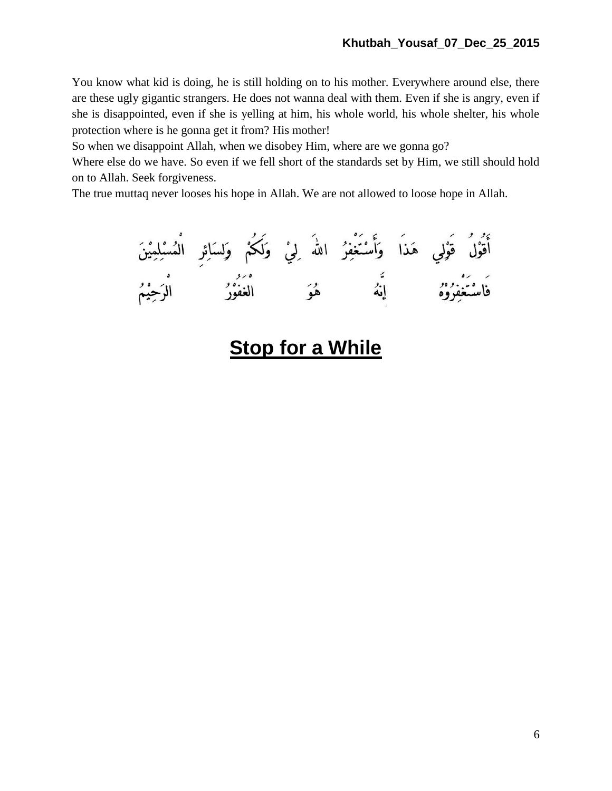You know what kid is doing, he is still holding on to his mother. Everywhere around else, there are these ugly gigantic strangers. He does not wanna deal with them. Even if she is angry, even if she is disappointed, even if she is yelling at him, his whole world, his whole shelter, his whole protection where is he gonna get it from? His mother!

So when we disappoint Allah, when we disobey Him, where are we gonna go?

Where else do we have. So even if we fell short of the standards set by Him, we still should hold on to Allah. Seek forgiveness.

The true muttaq never looses his hope in Allah. We are not allowed to loose hope in Allah.

أَقُوْلُ قَوْلِي هَذَا وَأَسْتَغْفِرُ اللهَ لِيْ وَلَكُمْ وَلِسَائِرِ الْمُسْلِمِيْنَ<br>فَاسْتَغْفِرُوْهُ إِنَّهُ هُوَ الْغَفُوْرُ الْرَحِيْمُ

# **Stop for a While**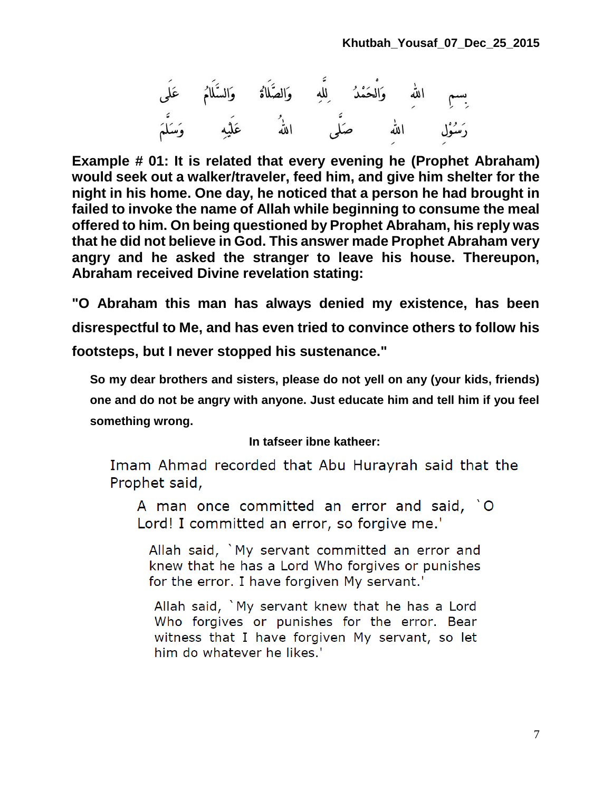

**Example # 01: It is related that every evening he (Prophet Abraham) would seek out a walker/traveler, feed him, and give him shelter for the night in his home. One day, he noticed that a person he had brought in failed to invoke the name of Allah while beginning to consume the meal offered to him. On being questioned by Prophet Abraham, his reply was that he did not believe in God. This answer made Prophet Abraham very angry and he asked the stranger to leave his house. Thereupon, Abraham received Divine revelation stating:**

**"O Abraham this man has always denied my existence, has been disrespectful to Me, and has even tried to convince others to follow his footsteps, but I never stopped his sustenance."**

**So my dear brothers and sisters, please do not yell on any (your kids, friends) one and do not be angry with anyone. Just educate him and tell him if you feel something wrong.**

#### **In tafseer ibne katheer:**

Imam Ahmad recorded that Abu Hurayrah said that the Prophet said,

A man once committed an error and said, `O Lord! I committed an error, so forgive me.'

Allah said, `My servant committed an error and knew that he has a Lord Who forgives or punishes for the error. I have forgiven My servant.'

Allah said, `My servant knew that he has a Lord Who forgives or punishes for the error. Bear witness that I have forgiven My servant, so let him do whatever he likes.'